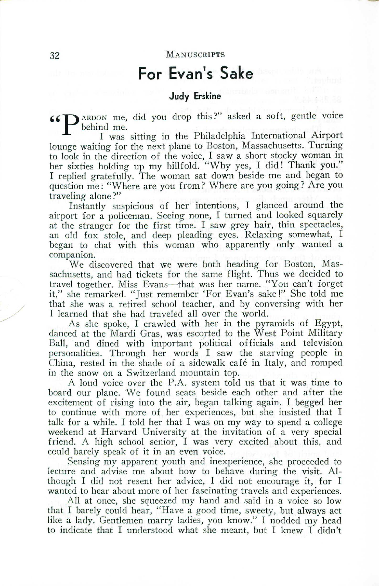#### 32 MANUSCRIPTS

## **For Evan's Sake**

### **Judy Erskine**

66 D ARDON me, did you drop this?" asked a soft, gentle voice behind me.

I was sitting in the Philadelphia International Airport lounge waiting for the next plane to Boston, Massachusetts. Turning to look in the direction of the voice, I saw a short stocky woman in her sixties holding up my billfold. "Why yes, I did! Thank you." I replied gratefully. The woman sat down beside me and began to question me: "Where are you from? Where are you going? Are you traveling alone ?"

Instantly suspicious of her intentions, I glanced around the airport for a policeman. Seeing none, I turned and looked squarely at the stranger for the first time. I saw grey hair, thin spectacles, an old fox stole, and deep pleading eyes. Relaxing somewhat, I began to chat with this woman who apparently only wanted a companion.

We discovered that we were both heading for Boston, Massachusetts, and had tickets for the same flight. Thus we decided to travel together. Miss Evans-that was her name. "You can't forget it," she remarked. "Just remember 'For Evan's sake!" She told me that she was a retired school teacher, and by conversing with her I learned that she had traveled all over the world.

As she spoke, I crawled with her in the pyramids of Egypt, danced at the Mardi Gras, was escorted to the West Point Military Ball, and dined with important political officials and television personalities. Through her words I saw the starving people in China, rested in the shade of a sidewalk cafe in Italy, and romped in the snow on a Switzerland mountain top.

A loud voice over the P.A. system told us that it was time to board our plane. We found seats beside each other and after the excitement of rising into the air, began talking again. I begged her to continue with more of her experiences, but she insisted that I talk for a while. I told her that I was on my way to spend a college weekend at Harvard University at the invitation of a very special friend. A high school senior, I was very excited about this, and could barely speak of it in an even voice.

Sensing my apparent youth and inexperience, she proceeded to lecture and advise me about how to behave during the visit. Although I did not resent her advice, I did not encourage it, for I wanted to hear about more of her fascinating travels and experiences.

All at once, she squeezed my hand and said in a voice so low that I barely could hear, "Have a good time, sweety, but always act like a lady. Gentlemen marry ladies, you know." I nodded my head to indicate that I understood what she meant, but I knew I didn't